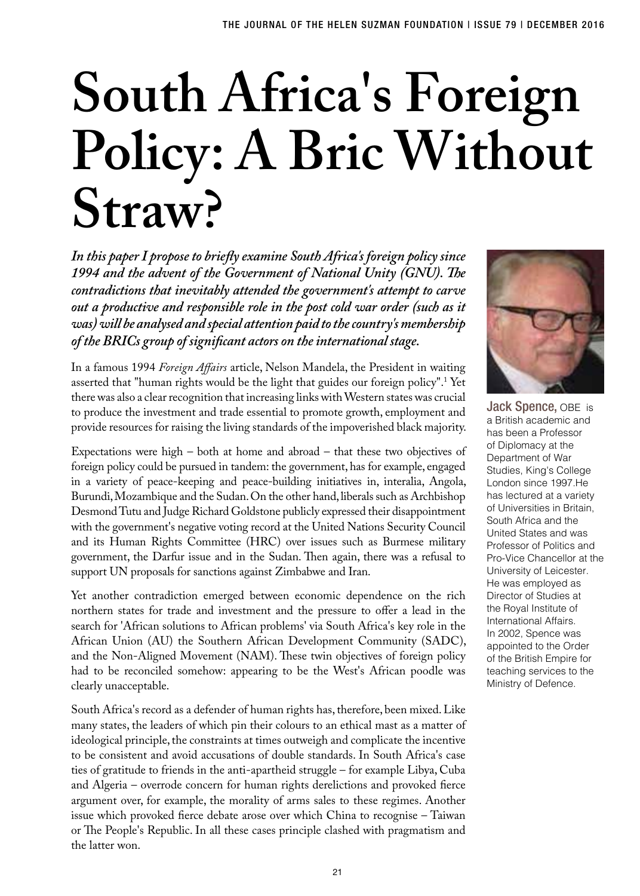## **South Africa's Foreign Policy: A Bric Without Straw?**

*In this paper I propose to briefly examine South Africa's foreign policy since 1994 and the advent of the Government of National Unity (GNU). The contradictions that inevitably attended the government's attempt to carve out a productive and responsible role in the post cold war order (such as it was) will be analysed and special attention paid to the country's membership of the BRICs group of significant actors on the international stage.*

In a famous 1994 *Foreign Affairs* article, Nelson Mandela, the President in waiting asserted that "human rights would be the light that guides our foreign policy".1 Yet there was also a clear recognition that increasing links with Western states was crucial to produce the investment and trade essential to promote growth, employment and provide resources for raising the living standards of the impoverished black majority.

Expectations were high – both at home and abroad – that these two objectives of foreign policy could be pursued in tandem: the government, has for example, engaged in a variety of peace-keeping and peace-building initiatives in, interalia, Angola, Burundi, Mozambique and the Sudan. On the other hand, liberals such as Archbishop Desmond Tutu and Judge Richard Goldstone publicly expressed their disappointment with the government's negative voting record at the United Nations Security Council and its Human Rights Committee (HRC) over issues such as Burmese military government, the Darfur issue and in the Sudan. Then again, there was a refusal to support UN proposals for sanctions against Zimbabwe and Iran.

Yet another contradiction emerged between economic dependence on the rich northern states for trade and investment and the pressure to offer a lead in the search for 'African solutions to African problems' via South Africa's key role in the African Union (AU) the Southern African Development Community (SADC), and the Non-Aligned Movement (NAM). These twin objectives of foreign policy had to be reconciled somehow: appearing to be the West's African poodle was clearly unacceptable.

South Africa's record as a defender of human rights has, therefore, been mixed. Like many states, the leaders of which pin their colours to an ethical mast as a matter of ideological principle, the constraints at times outweigh and complicate the incentive to be consistent and avoid accusations of double standards. In South Africa's case ties of gratitude to friends in the anti-apartheid struggle – for example Libya, Cuba and Algeria – overrode concern for human rights derelictions and provoked fierce argument over, for example, the morality of arms sales to these regimes. Another issue which provoked fierce debate arose over which China to recognise – Taiwan or The People's Republic. In all these cases principle clashed with pragmatism and the latter won.



Jack Spence, OBE is a British academic and has been a Professor of Diplomacy at the Department of War Studies, King's College London since 1997.He has lectured at a variety of Universities in Britain, South Africa and the United States and was Professor of Politics and Pro-Vice Chancellor at the University of Leicester. He was employed as Director of Studies at the Royal Institute of International Affairs. In 2002, Spence was appointed to the Order of the British Empire for teaching services to the Ministry of Defence.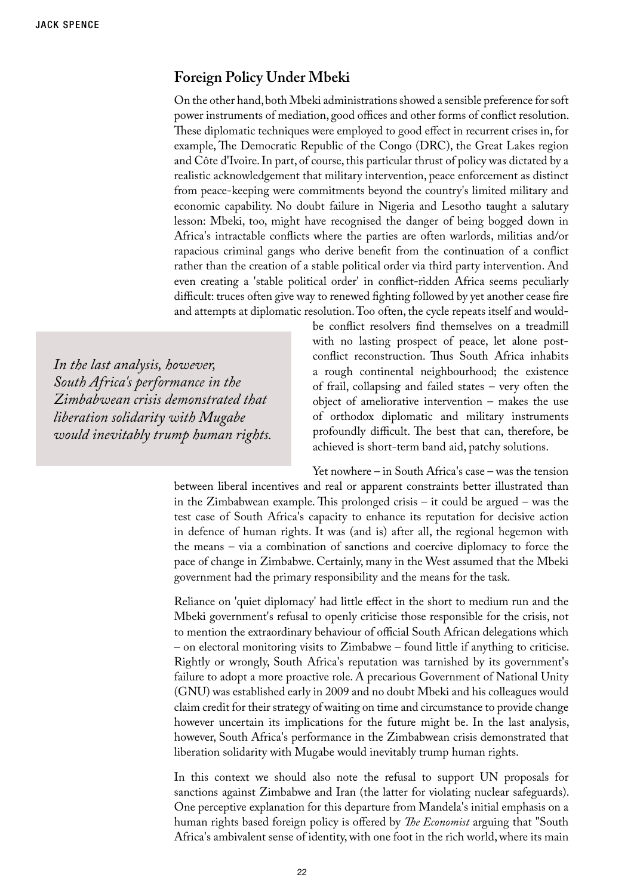## **Foreign Policy Under Mbeki**

On the other hand, both Mbeki administrations showed a sensible preference for soft power instruments of mediation, good offices and other forms of conflict resolution. These diplomatic techniques were employed to good effect in recurrent crises in, for example, The Democratic Republic of the Congo (DRC), the Great Lakes region and Côte d'Ivoire. In part, of course, this particular thrust of policy was dictated by a realistic acknowledgement that military intervention, peace enforcement as distinct from peace-keeping were commitments beyond the country's limited military and economic capability. No doubt failure in Nigeria and Lesotho taught a salutary lesson: Mbeki, too, might have recognised the danger of being bogged down in Africa's intractable conflicts where the parties are often warlords, militias and/or rapacious criminal gangs who derive benefit from the continuation of a conflict rather than the creation of a stable political order via third party intervention. And even creating a 'stable political order' in conflict-ridden Africa seems peculiarly difficult: truces often give way to renewed fighting followed by yet another cease fire and attempts at diplomatic resolution. Too often, the cycle repeats itself and would-

*In the last analysis, however, South Africa's performance in the Zimbabwean crisis demonstrated that liberation solidarity with Mugabe would inevitably trump human rights.* be conflict resolvers find themselves on a treadmill with no lasting prospect of peace, let alone postconflict reconstruction. Thus South Africa inhabits a rough continental neighbourhood; the existence of frail, collapsing and failed states – very often the object of ameliorative intervention – makes the use of orthodox diplomatic and military instruments profoundly difficult. The best that can, therefore, be achieved is short-term band aid, patchy solutions.

Yet nowhere – in South Africa's case – was the tension

between liberal incentives and real or apparent constraints better illustrated than in the Zimbabwean example. This prolonged crisis – it could be argued – was the test case of South Africa's capacity to enhance its reputation for decisive action in defence of human rights. It was (and is) after all, the regional hegemon with the means – via a combination of sanctions and coercive diplomacy to force the pace of change in Zimbabwe. Certainly, many in the West assumed that the Mbeki government had the primary responsibility and the means for the task.

Reliance on 'quiet diplomacy' had little effect in the short to medium run and the Mbeki government's refusal to openly criticise those responsible for the crisis, not to mention the extraordinary behaviour of official South African delegations which – on electoral monitoring visits to Zimbabwe – found little if anything to criticise. Rightly or wrongly, South Africa's reputation was tarnished by its government's failure to adopt a more proactive role. A precarious Government of National Unity (GNU) was established early in 2009 and no doubt Mbeki and his colleagues would claim credit for their strategy of waiting on time and circumstance to provide change however uncertain its implications for the future might be. In the last analysis, however, South Africa's performance in the Zimbabwean crisis demonstrated that liberation solidarity with Mugabe would inevitably trump human rights.

In this context we should also note the refusal to support UN proposals for sanctions against Zimbabwe and Iran (the latter for violating nuclear safeguards). One perceptive explanation for this departure from Mandela's initial emphasis on a human rights based foreign policy is offered by *The Economist* arguing that "South Africa's ambivalent sense of identity, with one foot in the rich world, where its main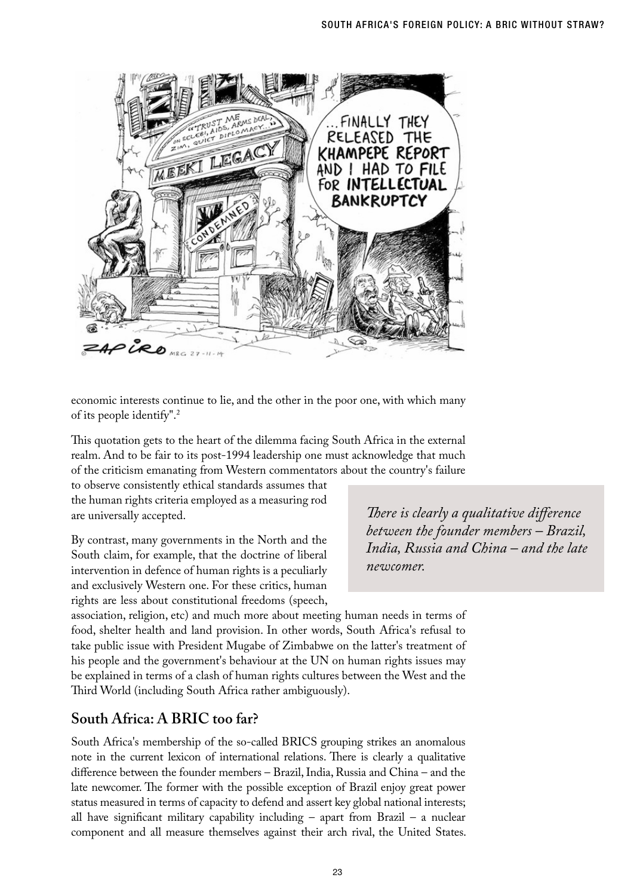

economic interests continue to lie, and the other in the poor one, with which many of its people identify".2

This quotation gets to the heart of the dilemma facing South Africa in the external realm. And to be fair to its post-1994 leadership one must acknowledge that much of the criticism emanating from Western commentators about the country's failure

to observe consistently ethical standards assumes that the human rights criteria employed as a measuring rod are universally accepted.

By contrast, many governments in the North and the South claim, for example, that the doctrine of liberal intervention in defence of human rights is a peculiarly and exclusively Western one. For these critics, human rights are less about constitutional freedoms (speech, *There is clearly a qualitative difference between the founder members – Brazil, India, Russia and China – and the late newcomer.* 

association, religion, etc) and much more about meeting human needs in terms of food, shelter health and land provision. In other words, South Africa's refusal to take public issue with President Mugabe of Zimbabwe on the latter's treatment of his people and the government's behaviour at the UN on human rights issues may be explained in terms of a clash of human rights cultures between the West and the Third World (including South Africa rather ambiguously).

## **South Africa: A BRIC too far?**

South Africa's membership of the so-called BRICS grouping strikes an anomalous note in the current lexicon of international relations. There is clearly a qualitative difference between the founder members – Brazil, India, Russia and China – and the late newcomer. The former with the possible exception of Brazil enjoy great power status measured in terms of capacity to defend and assert key global national interests; all have significant military capability including  $-$  apart from Brazil  $-$  a nuclear component and all measure themselves against their arch rival, the United States.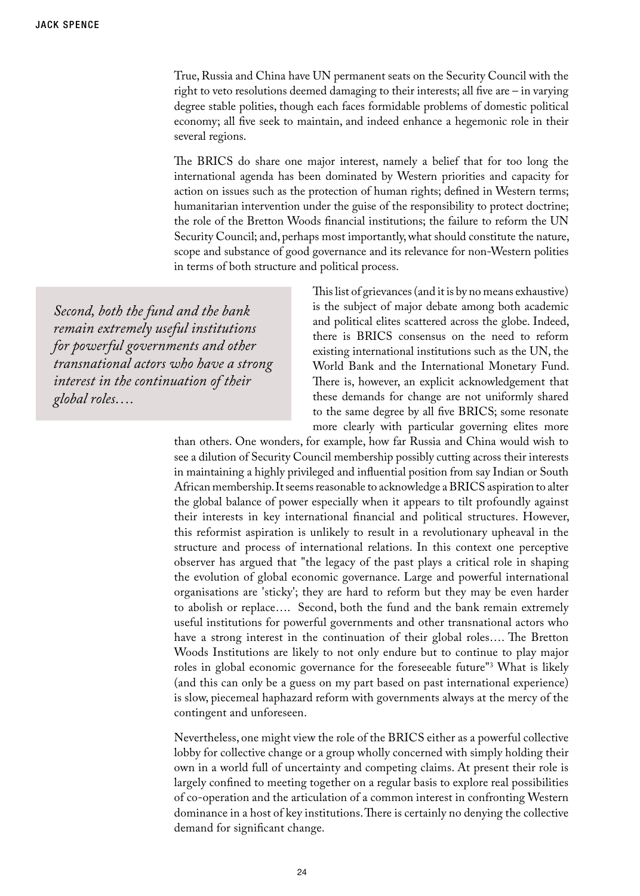True, Russia and China have UN permanent seats on the Security Council with the right to veto resolutions deemed damaging to their interests; all five are – in varying degree stable polities, though each faces formidable problems of domestic political economy; all five seek to maintain, and indeed enhance a hegemonic role in their several regions.

The BRICS do share one major interest, namely a belief that for too long the international agenda has been dominated by Western priorities and capacity for action on issues such as the protection of human rights; defined in Western terms; humanitarian intervention under the guise of the responsibility to protect doctrine; the role of the Bretton Woods financial institutions; the failure to reform the UN Security Council; and, perhaps most importantly, what should constitute the nature, scope and substance of good governance and its relevance for non-Western polities in terms of both structure and political process.

*Second, both the fund and the bank remain extremely useful institutions for powerful governments and other transnational actors who have a strong interest in the continuation of their global roles….* 

This list of grievances (and it is by no means exhaustive) is the subject of major debate among both academic and political elites scattered across the globe. Indeed, there is BRICS consensus on the need to reform existing international institutions such as the UN, the World Bank and the International Monetary Fund. There is, however, an explicit acknowledgement that these demands for change are not uniformly shared to the same degree by all five BRICS; some resonate more clearly with particular governing elites more

than others. One wonders, for example, how far Russia and China would wish to see a dilution of Security Council membership possibly cutting across their interests in maintaining a highly privileged and influential position from say Indian or South African membership. It seems reasonable to acknowledge a BRICS aspiration to alter the global balance of power especially when it appears to tilt profoundly against their interests in key international financial and political structures. However, this reformist aspiration is unlikely to result in a revolutionary upheaval in the structure and process of international relations. In this context one perceptive observer has argued that "the legacy of the past plays a critical role in shaping the evolution of global economic governance. Large and powerful international organisations are 'sticky'; they are hard to reform but they may be even harder to abolish or replace…. Second, both the fund and the bank remain extremely useful institutions for powerful governments and other transnational actors who have a strong interest in the continuation of their global roles…. The Bretton Woods Institutions are likely to not only endure but to continue to play major roles in global economic governance for the foreseeable future"3 What is likely (and this can only be a guess on my part based on past international experience) is slow, piecemeal haphazard reform with governments always at the mercy of the contingent and unforeseen.

Nevertheless, one might view the role of the BRICS either as a powerful collective lobby for collective change or a group wholly concerned with simply holding their own in a world full of uncertainty and competing claims. At present their role is largely confined to meeting together on a regular basis to explore real possibilities of co-operation and the articulation of a common interest in confronting Western dominance in a host of key institutions. There is certainly no denying the collective demand for significant change.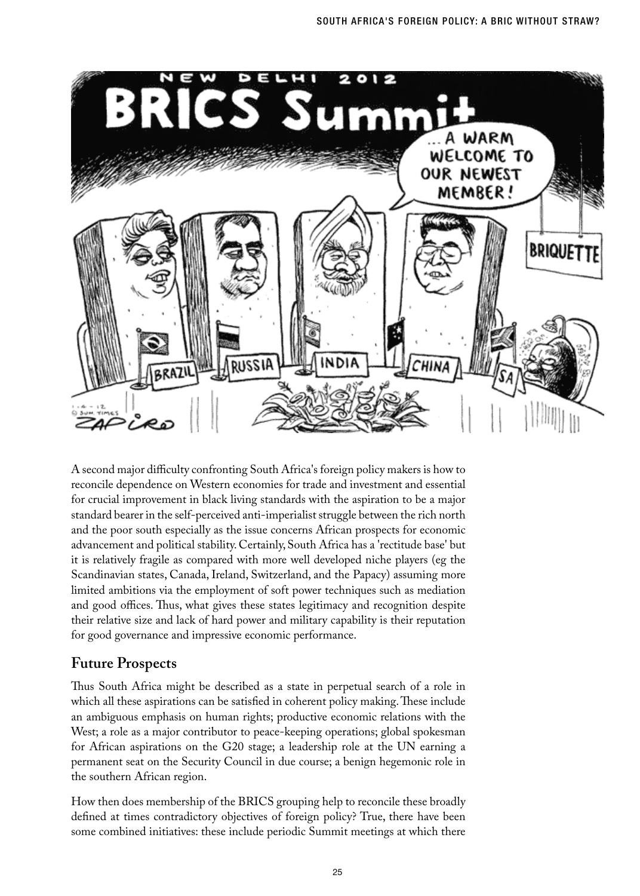

A second major difficulty confronting South Africa's foreign policy makers is how to reconcile dependence on Western economies for trade and investment and essential for crucial improvement in black living standards with the aspiration to be a major standard bearer in the self-perceived anti-imperialist struggle between the rich north and the poor south especially as the issue concerns African prospects for economic advancement and political stability. Certainly, South Africa has a 'rectitude base' but it is relatively fragile as compared with more well developed niche players (eg the Scandinavian states, Canada, Ireland, Switzerland, and the Papacy) assuming more limited ambitions via the employment of soft power techniques such as mediation and good offices. Thus, what gives these states legitimacy and recognition despite their relative size and lack of hard power and military capability is their reputation for good governance and impressive economic performance.

## **Future Prospects**

Thus South Africa might be described as a state in perpetual search of a role in which all these aspirations can be satisfied in coherent policy making. These include an ambiguous emphasis on human rights; productive economic relations with the West; a role as a major contributor to peace-keeping operations; global spokesman for African aspirations on the G20 stage; a leadership role at the UN earning a permanent seat on the Security Council in due course; a benign hegemonic role in the southern African region.

How then does membership of the BRICS grouping help to reconcile these broadly defined at times contradictory objectives of foreign policy? True, there have been some combined initiatives: these include periodic Summit meetings at which there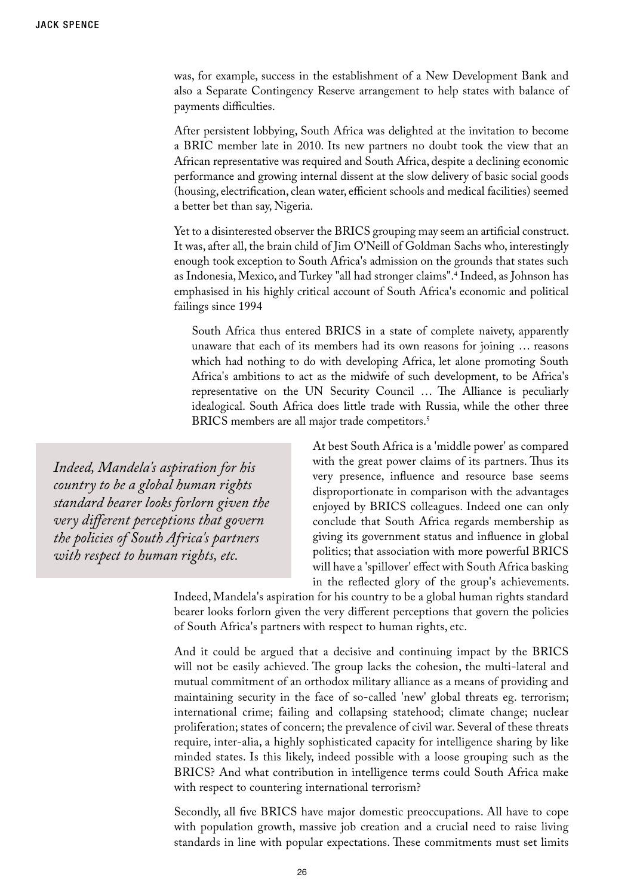was, for example, success in the establishment of a New Development Bank and also a Separate Contingency Reserve arrangement to help states with balance of payments difficulties.

After persistent lobbying, South Africa was delighted at the invitation to become a BRIC member late in 2010. Its new partners no doubt took the view that an African representative was required and South Africa, despite a declining economic performance and growing internal dissent at the slow delivery of basic social goods (housing, electrification, clean water, efficient schools and medical facilities) seemed a better bet than say, Nigeria.

Yet to a disinterested observer the BRICS grouping may seem an artificial construct. It was, after all, the brain child of Jim O'Neill of Goldman Sachs who, interestingly enough took exception to South Africa's admission on the grounds that states such as Indonesia, Mexico, and Turkey "all had stronger claims".4 Indeed, as Johnson has emphasised in his highly critical account of South Africa's economic and political failings since 1994

South Africa thus entered BRICS in a state of complete naivety, apparently unaware that each of its members had its own reasons for joining … reasons which had nothing to do with developing Africa, let alone promoting South Africa's ambitions to act as the midwife of such development, to be Africa's representative on the UN Security Council … The Alliance is peculiarly idealogical. South Africa does little trade with Russia, while the other three BRICS members are all major trade competitors.<sup>5</sup>

*Indeed, Mandela's aspiration for his country to be a global human rights standard bearer looks forlorn given the very different perceptions that govern the policies of South Africa's partners with respect to human rights, etc.*

At best South Africa is a 'middle power' as compared with the great power claims of its partners. Thus its very presence, influence and resource base seems disproportionate in comparison with the advantages enjoyed by BRICS colleagues. Indeed one can only conclude that South Africa regards membership as giving its government status and influence in global politics; that association with more powerful BRICS will have a 'spillover' effect with South Africa basking in the reflected glory of the group's achievements.

Indeed, Mandela's aspiration for his country to be a global human rights standard bearer looks forlorn given the very different perceptions that govern the policies of South Africa's partners with respect to human rights, etc.

And it could be argued that a decisive and continuing impact by the BRICS will not be easily achieved. The group lacks the cohesion, the multi-lateral and mutual commitment of an orthodox military alliance as a means of providing and maintaining security in the face of so-called 'new' global threats eg. terrorism; international crime; failing and collapsing statehood; climate change; nuclear proliferation; states of concern; the prevalence of civil war. Several of these threats require, inter-alia, a highly sophisticated capacity for intelligence sharing by like minded states. Is this likely, indeed possible with a loose grouping such as the BRICS? And what contribution in intelligence terms could South Africa make with respect to countering international terrorism?

Secondly, all five BRICS have major domestic preoccupations. All have to cope with population growth, massive job creation and a crucial need to raise living standards in line with popular expectations. These commitments must set limits